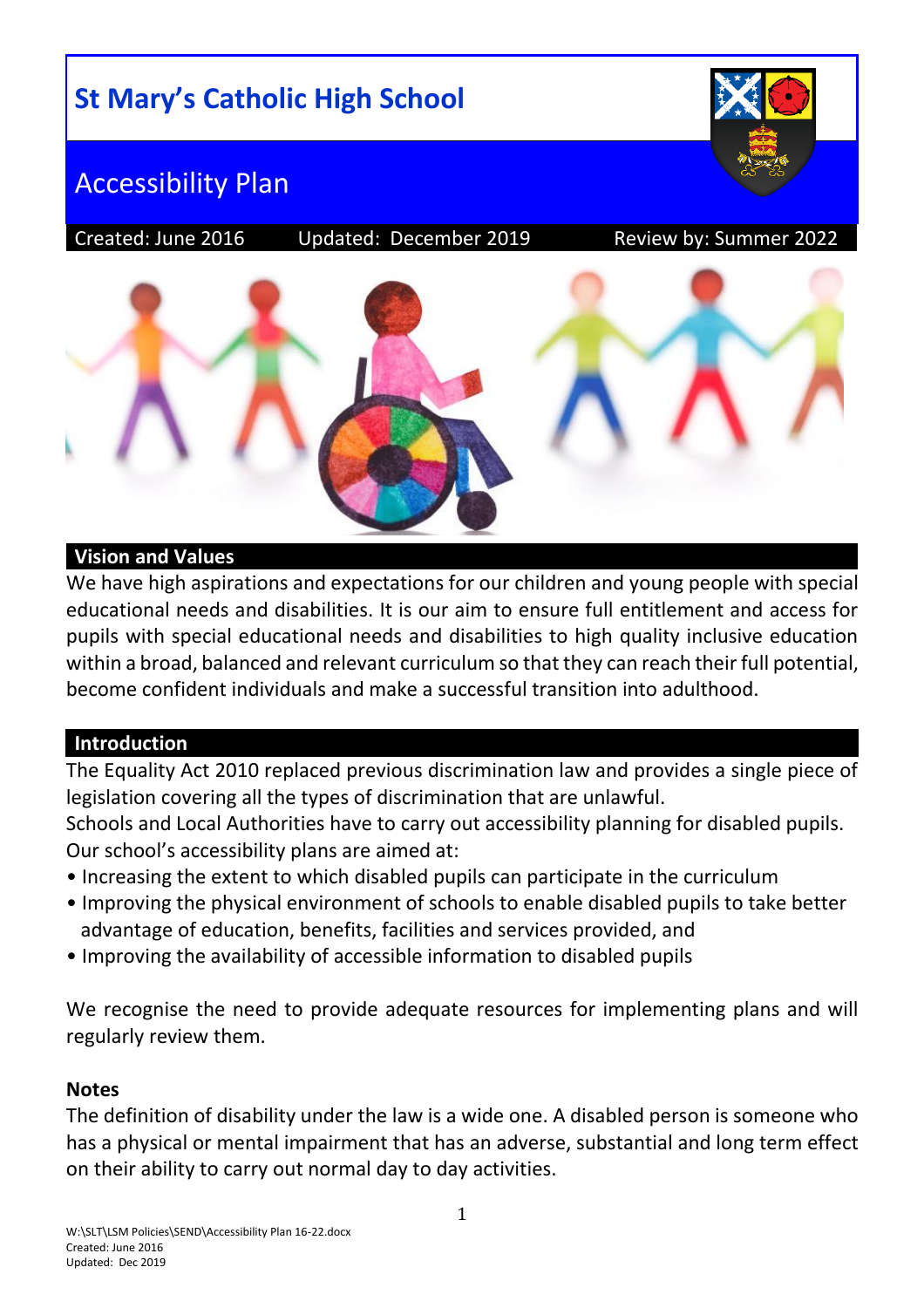# **St Mary's Catholic High School**



## Accessibility Plan

Created: June 2016 Updated: December 2019 Review by: Summer 2022



#### **Vision and Values**

We have high aspirations and expectations for our children and young people with special educational needs and disabilities. It is our aim to ensure full entitlement and access for pupils with special educational needs and disabilities to high quality inclusive education within a broad, balanced and relevant curriculum so that they can reach their full potential, become confident individuals and make a successful transition into adulthood.

#### **Introduction**

The Equality Act 2010 replaced previous discrimination law and provides a single piece of legislation covering all the types of discrimination that are unlawful.

Schools and Local Authorities have to carry out accessibility planning for disabled pupils. Our school's accessibility plans are aimed at:

- Increasing the extent to which disabled pupils can participate in the curriculum
- Improving the physical environment of schools to enable disabled pupils to take better advantage of education, benefits, facilities and services provided, and
- Improving the availability of accessible information to disabled pupils

We recognise the need to provide adequate resources for implementing plans and will regularly review them.

## **Notes**

The definition of disability under the law is a wide one. A disabled person is someone who has a physical or mental impairment that has an adverse, substantial and long term effect on their ability to carry out normal day to day activities.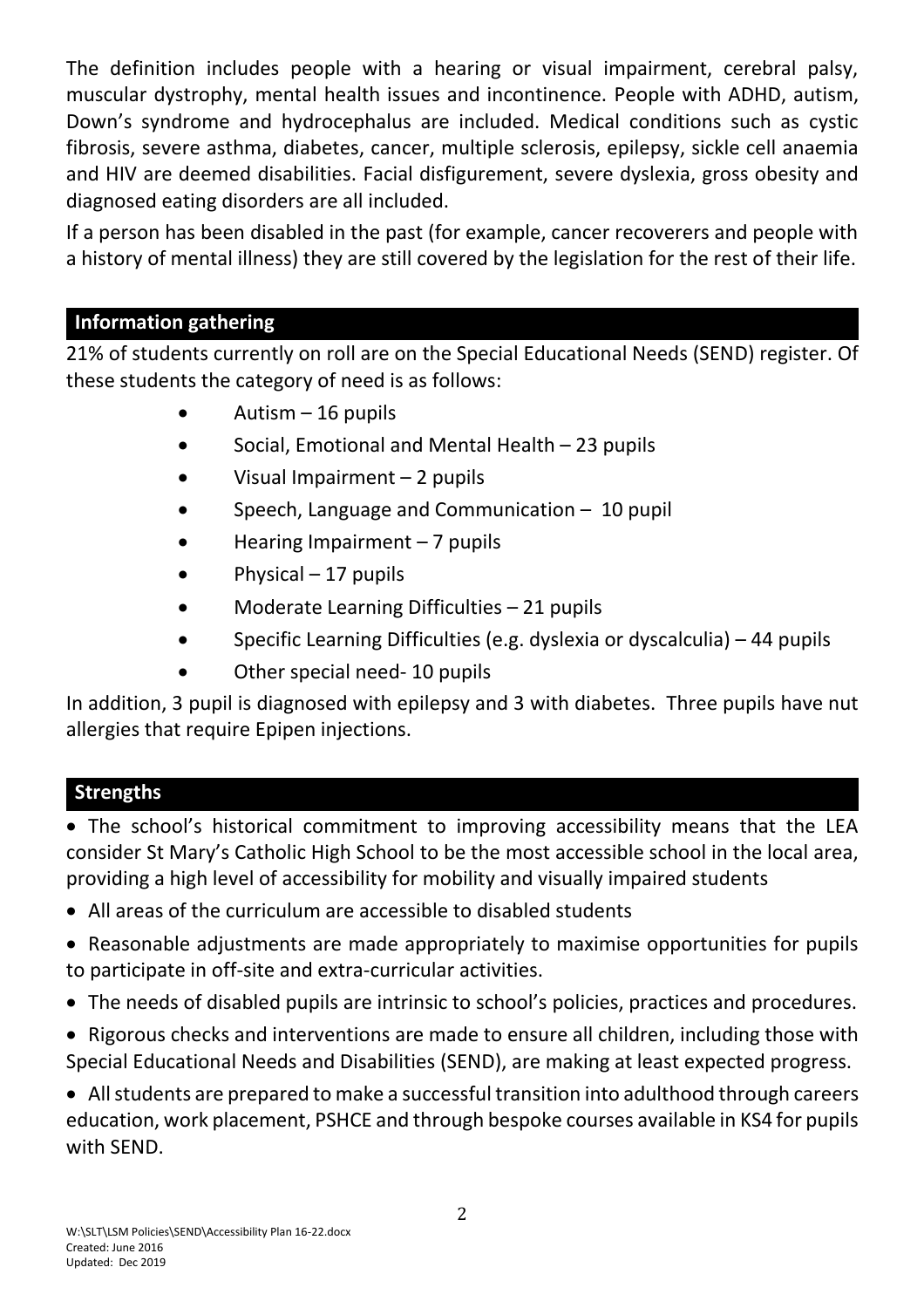The definition includes people with a hearing or visual impairment, cerebral palsy, muscular dystrophy, mental health issues and incontinence. People with ADHD, autism, Down's syndrome and hydrocephalus are included. Medical conditions such as cystic fibrosis, severe asthma, diabetes, cancer, multiple sclerosis, epilepsy, sickle cell anaemia and HIV are deemed disabilities. Facial disfigurement, severe dyslexia, gross obesity and diagnosed eating disorders are all included.

If a person has been disabled in the past (for example, cancer recoverers and people with a history of mental illness) they are still covered by the legislation for the rest of their life.

## **Information gathering**

21% of students currently on roll are on the Special Educational Needs (SEND) register. Of these students the category of need is as follows:

- $\bullet$  Autism 16 pupils
- Social, Emotional and Mental Health 23 pupils
- Visual Impairment 2 pupils
- Speech, Language and Communication 10 pupil
- Hearing Impairment 7 pupils
- $\bullet$  Physical 17 pupils
- Moderate Learning Difficulties 21 pupils
- Specific Learning Difficulties (e.g. dyslexia or dyscalculia) 44 pupils
- Other special need-10 pupils

In addition, 3 pupil is diagnosed with epilepsy and 3 with diabetes. Three pupils have nut allergies that require Epipen injections.

## **Strengths**

 The school's historical commitment to improving accessibility means that the LEA consider St Mary's Catholic High School to be the most accessible school in the local area, providing a high level of accessibility for mobility and visually impaired students

- All areas of the curriculum are accessible to disabled students
- Reasonable adjustments are made appropriately to maximise opportunities for pupils to participate in off-site and extra-curricular activities.
- The needs of disabled pupils are intrinsic to school's policies, practices and procedures.
- Rigorous checks and interventions are made to ensure all children, including those with Special Educational Needs and Disabilities (SEND), are making at least expected progress.

 All students are prepared to make a successful transition into adulthood through careers education, work placement, PSHCE and through bespoke courses available in KS4 for pupils with SEND.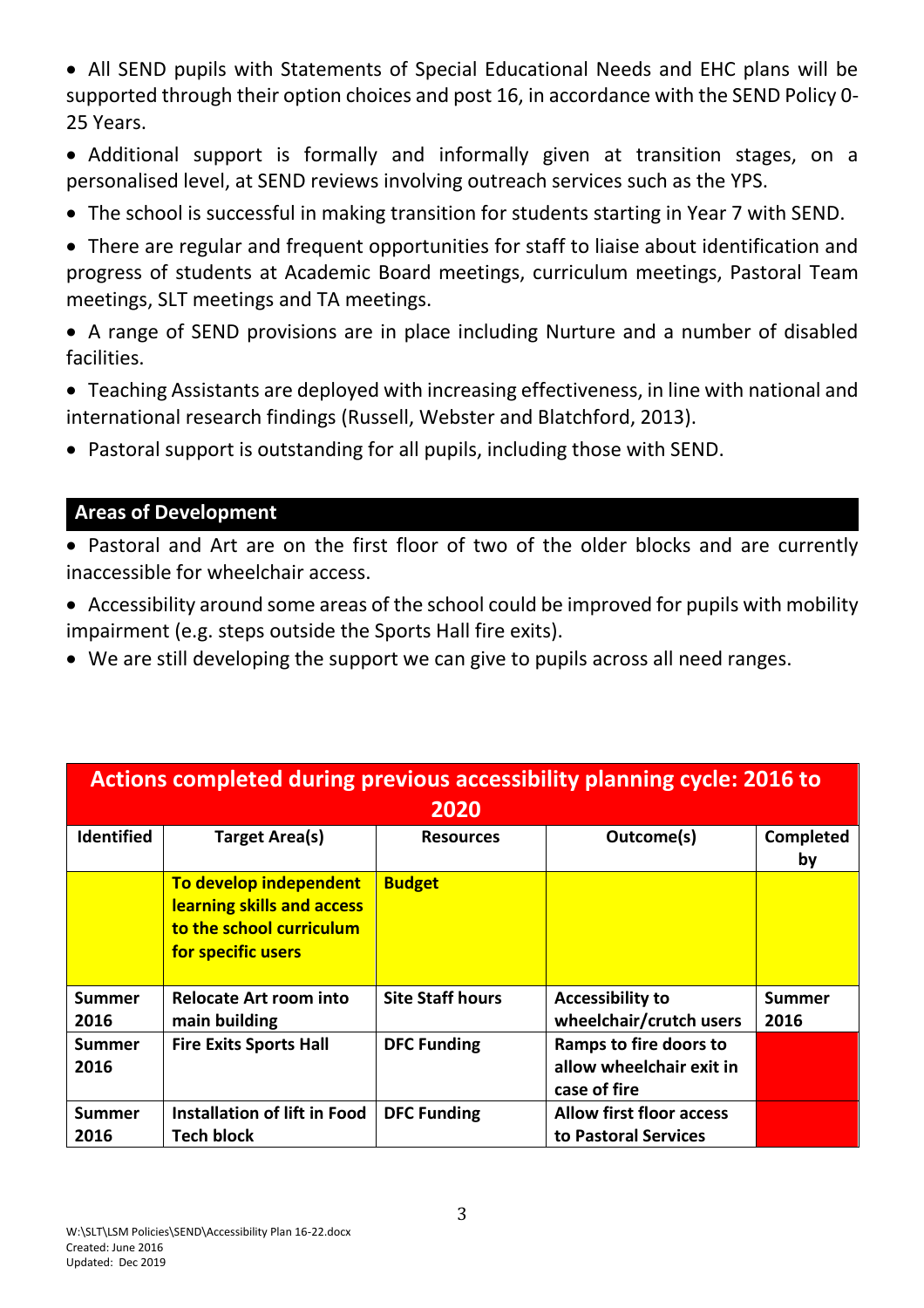All SEND pupils with Statements of Special Educational Needs and EHC plans will be supported through their option choices and post 16, in accordance with the SEND Policy 0- 25 Years.

 Additional support is formally and informally given at transition stages, on a personalised level, at SEND reviews involving outreach services such as the YPS.

- The school is successful in making transition for students starting in Year 7 with SEND.
- There are regular and frequent opportunities for staff to liaise about identification and progress of students at Academic Board meetings, curriculum meetings, Pastoral Team meetings, SLT meetings and TA meetings.
- A range of SEND provisions are in place including Nurture and a number of disabled facilities.
- Teaching Assistants are deployed with increasing effectiveness, in line with national and international research findings (Russell, Webster and Blatchford, 2013).
- Pastoral support is outstanding for all pupils, including those with SEND.

#### **Areas of Development**

- Pastoral and Art are on the first floor of two of the older blocks and are currently inaccessible for wheelchair access.
- Accessibility around some areas of the school could be improved for pupils with mobility impairment (e.g. steps outside the Sports Hall fire exits).
- We are still developing the support we can give to pupils across all need ranges.

| Actions completed during previous accessibility planning cycle: 2016 to<br>2020 |                                                                                                        |                         |                                                                    |                 |  |  |  |
|---------------------------------------------------------------------------------|--------------------------------------------------------------------------------------------------------|-------------------------|--------------------------------------------------------------------|-----------------|--|--|--|
| <b>Identified</b>                                                               | <b>Target Area(s)</b>                                                                                  | <b>Resources</b>        | Outcome(s)                                                         | Completed<br>by |  |  |  |
|                                                                                 | To develop independent<br>learning skills and access<br>to the school curriculum<br>for specific users | <b>Budget</b>           |                                                                    |                 |  |  |  |
| Summer<br>2016                                                                  | <b>Relocate Art room into</b><br>main building                                                         | <b>Site Staff hours</b> | <b>Accessibility to</b><br>wheelchair/crutch users                 | Summer<br>2016  |  |  |  |
| <b>Summer</b><br>2016                                                           | <b>Fire Exits Sports Hall</b>                                                                          | <b>DFC Funding</b>      | Ramps to fire doors to<br>allow wheelchair exit in<br>case of fire |                 |  |  |  |
| <b>Summer</b><br>2016                                                           | Installation of lift in Food<br><b>Tech block</b>                                                      | <b>DFC Funding</b>      | <b>Allow first floor access</b><br>to Pastoral Services            |                 |  |  |  |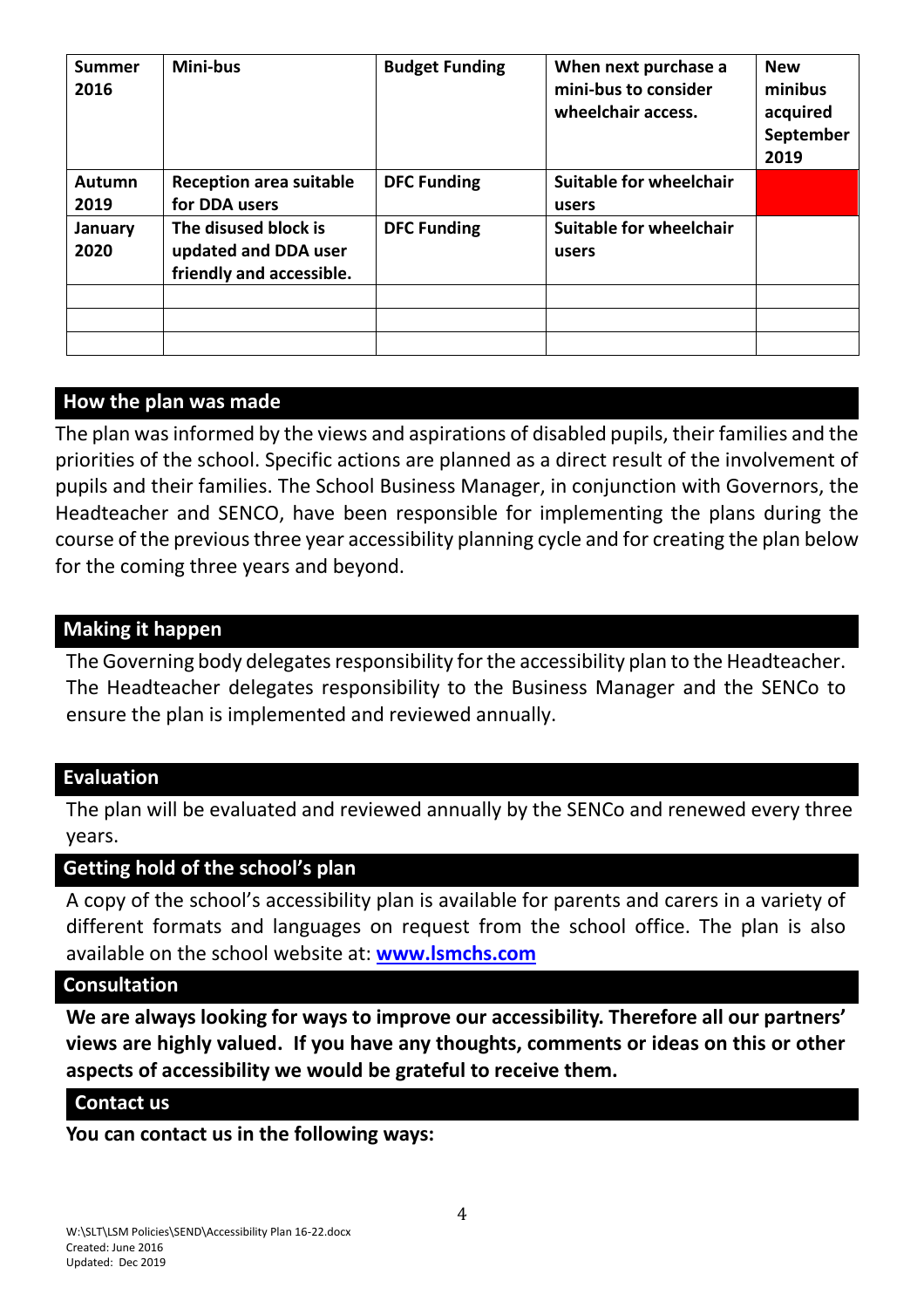| <b>Summer</b><br>2016 | Mini-bus                                     | <b>Budget Funding</b> | When next purchase a<br>mini-bus to consider<br>wheelchair access. | <b>New</b><br>minibus<br>acquired<br>September<br>2019 |
|-----------------------|----------------------------------------------|-----------------------|--------------------------------------------------------------------|--------------------------------------------------------|
| Autumn                | <b>Reception area suitable</b>               | <b>DFC Funding</b>    | <b>Suitable for wheelchair</b>                                     |                                                        |
| 2019                  | for DDA users                                |                       | users                                                              |                                                        |
| January<br>2020       | The disused block is<br>updated and DDA user | <b>DFC Funding</b>    | <b>Suitable for wheelchair</b><br>users                            |                                                        |
|                       | friendly and accessible.                     |                       |                                                                    |                                                        |
|                       |                                              |                       |                                                                    |                                                        |
|                       |                                              |                       |                                                                    |                                                        |
|                       |                                              |                       |                                                                    |                                                        |

#### **How the plan was made**

The plan was informed by the views and aspirations of disabled pupils, their families and the priorities of the school. Specific actions are planned as a direct result of the involvement of pupils and their families. The School Business Manager, in conjunction with Governors, the Headteacher and SENCO, have been responsible for implementing the plans during the course of the previous three year accessibility planning cycle and for creating the plan below for the coming three years and beyond.

#### **Making it happen**

The Governing body delegates responsibility for the accessibility plan to the Headteacher. The Headteacher delegates responsibility to the Business Manager and the SENCo to ensure the plan is implemented and reviewed annually.

#### **Evaluation**

The plan will be evaluated and reviewed annually by the SENCo and renewed every three years.

#### **Getting hold of the school's plan**

A copy of the school's accessibility plan is available for parents and carers in a variety of different formats and languages on request from the school office. The plan is also available on the school website at: **[www.lsmchs.com](http://www.lsmchs.com/)**

#### **Consultation**

**We are always looking for ways to improve our accessibility. Therefore all our partners' views are highly valued. If you have any thoughts, comments or ideas on this or other aspects of accessibility we would be grateful to receive them.** 

#### **Contact us**

**You can contact us in the following ways:**